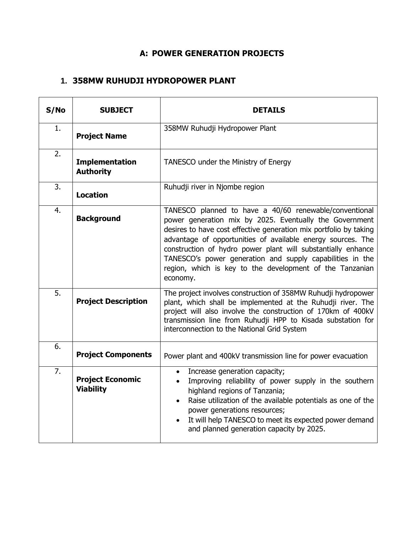## **A: POWER GENERATION PROJECTS**

#### **1. 358MW RUHUDJI HYDROPOWER PLANT**

| S/No | <b>SUBJECT</b>                              | <b>DETAILS</b>                                                                                                                                                                                                                                                                                                                                                                                                                                             |
|------|---------------------------------------------|------------------------------------------------------------------------------------------------------------------------------------------------------------------------------------------------------------------------------------------------------------------------------------------------------------------------------------------------------------------------------------------------------------------------------------------------------------|
| 1.   | <b>Project Name</b>                         | 358MW Ruhudji Hydropower Plant                                                                                                                                                                                                                                                                                                                                                                                                                             |
| 2.   | <b>Implementation</b><br><b>Authority</b>   | TANESCO under the Ministry of Energy                                                                                                                                                                                                                                                                                                                                                                                                                       |
| 3.   | <b>Location</b>                             | Ruhudji river in Njombe region                                                                                                                                                                                                                                                                                                                                                                                                                             |
| 4.   | <b>Background</b>                           | TANESCO planned to have a 40/60 renewable/conventional<br>power generation mix by 2025. Eventually the Government<br>desires to have cost effective generation mix portfolio by taking<br>advantage of opportunities of available energy sources. The<br>construction of hydro power plant will substantially enhance<br>TANESCO's power generation and supply capabilities in the<br>region, which is key to the development of the Tanzanian<br>economy. |
| 5.   | <b>Project Description</b>                  | The project involves construction of 358MW Ruhudji hydropower<br>plant, which shall be implemented at the Ruhudji river. The<br>project will also involve the construction of 170km of 400kV<br>transmission line from Ruhudji HPP to Kisada substation for<br>interconnection to the National Grid System                                                                                                                                                 |
| 6.   | <b>Project Components</b>                   | Power plant and 400kV transmission line for power evacuation                                                                                                                                                                                                                                                                                                                                                                                               |
| 7.   | <b>Project Economic</b><br><b>Viability</b> | Increase generation capacity;<br>Improving reliability of power supply in the southern<br>highland regions of Tanzania;<br>Raise utilization of the available potentials as one of the<br>power generations resources;<br>It will help TANESCO to meet its expected power demand<br>and planned generation capacity by 2025.                                                                                                                               |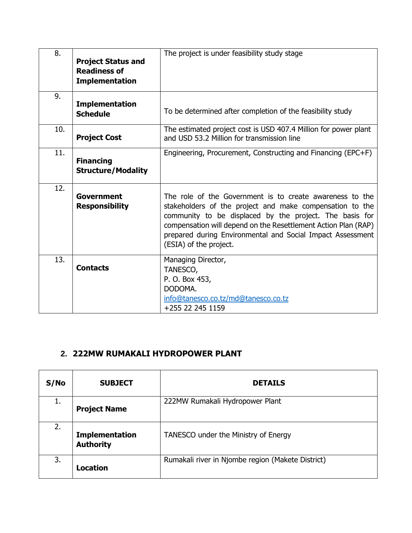| 8.  | <b>Project Status and</b><br><b>Readiness of</b><br><b>Implementation</b> | The project is under feasibility study stage                                                                                                                                                                                                                                                                                              |
|-----|---------------------------------------------------------------------------|-------------------------------------------------------------------------------------------------------------------------------------------------------------------------------------------------------------------------------------------------------------------------------------------------------------------------------------------|
| 9.  | <b>Implementation</b><br><b>Schedule</b>                                  | To be determined after completion of the feasibility study                                                                                                                                                                                                                                                                                |
| 10. | <b>Project Cost</b>                                                       | The estimated project cost is USD 407.4 Million for power plant<br>and USD 53.2 Million for transmission line                                                                                                                                                                                                                             |
| 11. | <b>Financing</b><br><b>Structure/Modality</b>                             | Engineering, Procurement, Constructing and Financing (EPC+F)                                                                                                                                                                                                                                                                              |
| 12. | <b>Government</b><br><b>Responsibility</b>                                | The role of the Government is to create awareness to the<br>stakeholders of the project and make compensation to the<br>community to be displaced by the project. The basis for<br>compensation will depend on the Resettlement Action Plan (RAP)<br>prepared during Environmental and Social Impact Assessment<br>(ESIA) of the project. |
| 13. | <b>Contacts</b>                                                           | Managing Director,<br>TANESCO,<br>P. O. Box 453,<br>DODOMA.<br>info@tanesco.co.tz/md@tanesco.co.tz<br>+255 22 245 1159                                                                                                                                                                                                                    |

## **2. 222MW RUMAKALI HYDROPOWER PLANT**

| S/No | <b>SUBJECT</b>                            | <b>DETAILS</b>                                    |
|------|-------------------------------------------|---------------------------------------------------|
| 1.   | <b>Project Name</b>                       | 222MW Rumakali Hydropower Plant                   |
| 2.   | <b>Implementation</b><br><b>Authority</b> | TANESCO under the Ministry of Energy              |
| 3.   | Location                                  | Rumakali river in Njombe region (Makete District) |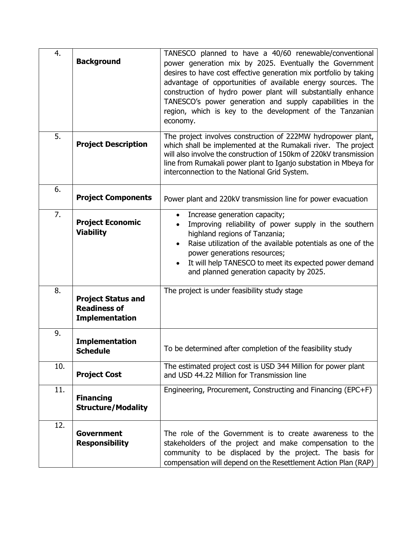| 4.  | <b>Background</b>                                                         | TANESCO planned to have a 40/60 renewable/conventional<br>power generation mix by 2025. Eventually the Government<br>desires to have cost effective generation mix portfolio by taking<br>advantage of opportunities of available energy sources. The<br>construction of hydro power plant will substantially enhance<br>TANESCO's power generation and supply capabilities in the<br>region, which is key to the development of the Tanzanian<br>economy. |
|-----|---------------------------------------------------------------------------|------------------------------------------------------------------------------------------------------------------------------------------------------------------------------------------------------------------------------------------------------------------------------------------------------------------------------------------------------------------------------------------------------------------------------------------------------------|
| 5.  | <b>Project Description</b>                                                | The project involves construction of 222MW hydropower plant,<br>which shall be implemented at the Rumakali river. The project<br>will also involve the construction of 150km of 220kV transmission<br>line from Rumakali power plant to Iganjo substation in Mbeya for<br>interconnection to the National Grid System.                                                                                                                                     |
| 6.  | <b>Project Components</b>                                                 | Power plant and 220kV transmission line for power evacuation                                                                                                                                                                                                                                                                                                                                                                                               |
| 7.  | <b>Project Economic</b><br><b>Viability</b>                               | Increase generation capacity;<br>$\bullet$<br>Improving reliability of power supply in the southern<br>highland regions of Tanzania;<br>Raise utilization of the available potentials as one of the<br>$\bullet$<br>power generations resources;<br>It will help TANESCO to meet its expected power demand<br>$\bullet$<br>and planned generation capacity by 2025.                                                                                        |
| 8.  | <b>Project Status and</b><br><b>Readiness of</b><br><b>Implementation</b> | The project is under feasibility study stage                                                                                                                                                                                                                                                                                                                                                                                                               |
| 9.  | <b>Implementation</b><br><b>Schedule</b>                                  | To be determined after completion of the feasibility study                                                                                                                                                                                                                                                                                                                                                                                                 |
| 10. | <b>Project Cost</b>                                                       | The estimated project cost is USD 344 Million for power plant<br>and USD 44.22 Million for Transmission line                                                                                                                                                                                                                                                                                                                                               |
| 11. | <b>Financing</b><br><b>Structure/Modality</b>                             | Engineering, Procurement, Constructing and Financing (EPC+F)                                                                                                                                                                                                                                                                                                                                                                                               |
| 12. | <b>Government</b><br><b>Responsibility</b>                                | The role of the Government is to create awareness to the<br>stakeholders of the project and make compensation to the<br>community to be displaced by the project. The basis for<br>compensation will depend on the Resettlement Action Plan (RAP)                                                                                                                                                                                                          |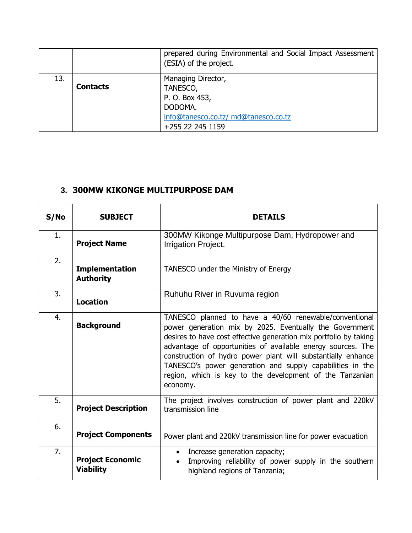|     |                 | prepared during Environmental and Social Impact Assessment<br>(ESIA) of the project. |
|-----|-----------------|--------------------------------------------------------------------------------------|
| 13. |                 | Managing Director,                                                                   |
|     | <b>Contacts</b> | TANESCO,                                                                             |
|     |                 | P. O. Box 453,                                                                       |
|     |                 | DODOMA.                                                                              |
|     |                 | info@tanesco.co.tz/ md@tanesco.co.tz                                                 |
|     |                 | +255 22 245 1159                                                                     |

#### **3. 300MW KIKONGE MULTIPURPOSE DAM**

| S/No | <b>SUBJECT</b>                              | <b>DETAILS</b>                                                                                                                                                                                                                                                                                                                                                                                                                                             |
|------|---------------------------------------------|------------------------------------------------------------------------------------------------------------------------------------------------------------------------------------------------------------------------------------------------------------------------------------------------------------------------------------------------------------------------------------------------------------------------------------------------------------|
| 1.   | <b>Project Name</b>                         | 300MW Kikonge Multipurpose Dam, Hydropower and<br>Irrigation Project.                                                                                                                                                                                                                                                                                                                                                                                      |
| 2.   | <b>Implementation</b><br><b>Authority</b>   | TANESCO under the Ministry of Energy                                                                                                                                                                                                                                                                                                                                                                                                                       |
| 3.   | <b>Location</b>                             | Ruhuhu River in Ruvuma region                                                                                                                                                                                                                                                                                                                                                                                                                              |
| 4.   | <b>Background</b>                           | TANESCO planned to have a 40/60 renewable/conventional<br>power generation mix by 2025. Eventually the Government<br>desires to have cost effective generation mix portfolio by taking<br>advantage of opportunities of available energy sources. The<br>construction of hydro power plant will substantially enhance<br>TANESCO's power generation and supply capabilities in the<br>region, which is key to the development of the Tanzanian<br>economy. |
| 5.   | <b>Project Description</b>                  | The project involves construction of power plant and 220kV<br>transmission line                                                                                                                                                                                                                                                                                                                                                                            |
| 6.   | <b>Project Components</b>                   | Power plant and 220kV transmission line for power evacuation                                                                                                                                                                                                                                                                                                                                                                                               |
| 7.   | <b>Project Economic</b><br><b>Viability</b> | Increase generation capacity;<br>$\bullet$<br>Improving reliability of power supply in the southern<br>highland regions of Tanzania;                                                                                                                                                                                                                                                                                                                       |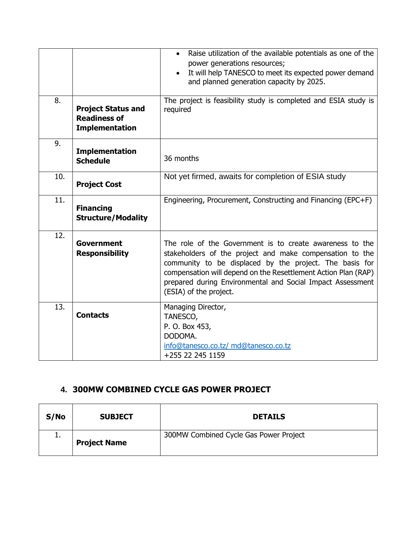|     |                                                                           | Raise utilization of the available potentials as one of the<br>$\bullet$<br>power generations resources;<br>It will help TANESCO to meet its expected power demand<br>$\bullet$<br>and planned generation capacity by 2025.                                                                                                               |
|-----|---------------------------------------------------------------------------|-------------------------------------------------------------------------------------------------------------------------------------------------------------------------------------------------------------------------------------------------------------------------------------------------------------------------------------------|
| 8.  | <b>Project Status and</b><br><b>Readiness of</b><br><b>Implementation</b> | The project is feasibility study is completed and ESIA study is<br>required                                                                                                                                                                                                                                                               |
| 9.  | <b>Implementation</b><br><b>Schedule</b>                                  | 36 months                                                                                                                                                                                                                                                                                                                                 |
| 10. | <b>Project Cost</b>                                                       | Not yet firmed, awaits for completion of ESIA study                                                                                                                                                                                                                                                                                       |
| 11. | <b>Financing</b><br><b>Structure/Modality</b>                             | Engineering, Procurement, Constructing and Financing (EPC+F)                                                                                                                                                                                                                                                                              |
| 12. | <b>Government</b><br><b>Responsibility</b>                                | The role of the Government is to create awareness to the<br>stakeholders of the project and make compensation to the<br>community to be displaced by the project. The basis for<br>compensation will depend on the Resettlement Action Plan (RAP)<br>prepared during Environmental and Social Impact Assessment<br>(ESIA) of the project. |
| 13. | <b>Contacts</b>                                                           | Managing Director,<br>TANESCO,<br>P. O. Box 453,<br>DODOMA.<br>info@tanesco.co.tz/ md@tanesco.co.tz<br>+255 22 245 1159                                                                                                                                                                                                                   |

### **4. 300MW COMBINED CYCLE GAS POWER PROJECT**

| S/No     | <b>SUBJECT</b>      | <b>DETAILS</b>                         |
|----------|---------------------|----------------------------------------|
| <b>.</b> | <b>Project Name</b> | 300MW Combined Cycle Gas Power Project |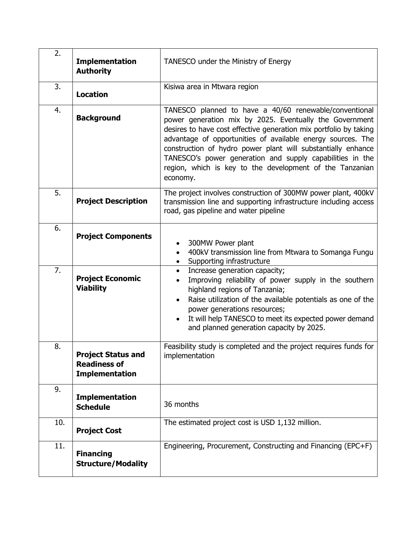| 2.  | <b>Implementation</b><br><b>Authority</b>                                 | TANESCO under the Ministry of Energy                                                                                                                                                                                                                                                                                                                                                                                                                       |
|-----|---------------------------------------------------------------------------|------------------------------------------------------------------------------------------------------------------------------------------------------------------------------------------------------------------------------------------------------------------------------------------------------------------------------------------------------------------------------------------------------------------------------------------------------------|
| 3.  | <b>Location</b>                                                           | Kisiwa area in Mtwara region                                                                                                                                                                                                                                                                                                                                                                                                                               |
| 4.  | <b>Background</b>                                                         | TANESCO planned to have a 40/60 renewable/conventional<br>power generation mix by 2025. Eventually the Government<br>desires to have cost effective generation mix portfolio by taking<br>advantage of opportunities of available energy sources. The<br>construction of hydro power plant will substantially enhance<br>TANESCO's power generation and supply capabilities in the<br>region, which is key to the development of the Tanzanian<br>economy. |
| 5.  | <b>Project Description</b>                                                | The project involves construction of 300MW power plant, 400kV<br>transmission line and supporting infrastructure including access<br>road, gas pipeline and water pipeline                                                                                                                                                                                                                                                                                 |
| 6.  | <b>Project Components</b>                                                 | 300MW Power plant<br>400kV transmission line from Mtwara to Somanga Fungu<br>Supporting infrastructure                                                                                                                                                                                                                                                                                                                                                     |
| 7.  | <b>Project Economic</b><br><b>Viability</b>                               | Increase generation capacity;<br>$\bullet$<br>Improving reliability of power supply in the southern<br>highland regions of Tanzania;<br>Raise utilization of the available potentials as one of the<br>power generations resources;<br>It will help TANESCO to meet its expected power demand<br>and planned generation capacity by 2025.                                                                                                                  |
| 8.  | <b>Project Status and</b><br><b>Readiness of</b><br><b>Implementation</b> | Feasibility study is completed and the project requires funds for<br>implementation                                                                                                                                                                                                                                                                                                                                                                        |
| 9.  | <b>Implementation</b><br><b>Schedule</b>                                  | 36 months                                                                                                                                                                                                                                                                                                                                                                                                                                                  |
| 10. | <b>Project Cost</b>                                                       | The estimated project cost is USD 1,132 million.                                                                                                                                                                                                                                                                                                                                                                                                           |
| 11. | <b>Financing</b><br><b>Structure/Modality</b>                             | Engineering, Procurement, Constructing and Financing (EPC+F)                                                                                                                                                                                                                                                                                                                                                                                               |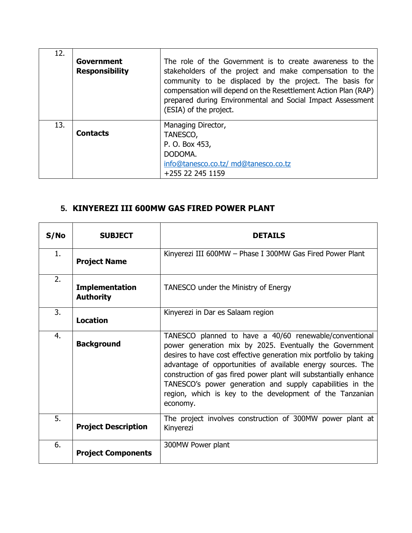| 12. | <b>Government</b><br><b>Responsibility</b> | The role of the Government is to create awareness to the<br>stakeholders of the project and make compensation to the<br>community to be displaced by the project. The basis for<br>compensation will depend on the Resettlement Action Plan (RAP)<br>prepared during Environmental and Social Impact Assessment<br>(ESIA) of the project. |
|-----|--------------------------------------------|-------------------------------------------------------------------------------------------------------------------------------------------------------------------------------------------------------------------------------------------------------------------------------------------------------------------------------------------|
| 13. | <b>Contacts</b>                            | Managing Director,<br>TANESCO,<br>P. O. Box 453,<br>DODOMA.<br>info@tanesco.co.tz/ md@tanesco.co.tz<br>+255 22 245 1159                                                                                                                                                                                                                   |

## **5. KINYEREZI III 600MW GAS FIRED POWER PLANT**

| S/NO | <b>SUBJECT</b>                            | <b>DETAILS</b>                                                                                                                                                                                                                                                                                                                                                                                                                                                 |
|------|-------------------------------------------|----------------------------------------------------------------------------------------------------------------------------------------------------------------------------------------------------------------------------------------------------------------------------------------------------------------------------------------------------------------------------------------------------------------------------------------------------------------|
| 1.   | <b>Project Name</b>                       | Kinyerezi III 600MW - Phase I 300MW Gas Fired Power Plant                                                                                                                                                                                                                                                                                                                                                                                                      |
| 2.   | <b>Implementation</b><br><b>Authority</b> | TANESCO under the Ministry of Energy                                                                                                                                                                                                                                                                                                                                                                                                                           |
| 3.   | <b>Location</b>                           | Kinyerezi in Dar es Salaam region                                                                                                                                                                                                                                                                                                                                                                                                                              |
| 4.   | <b>Background</b>                         | TANESCO planned to have a 40/60 renewable/conventional<br>power generation mix by 2025. Eventually the Government<br>desires to have cost effective generation mix portfolio by taking<br>advantage of opportunities of available energy sources. The<br>construction of gas fired power plant will substantially enhance<br>TANESCO's power generation and supply capabilities in the<br>region, which is key to the development of the Tanzanian<br>economy. |
| 5.   | <b>Project Description</b>                | The project involves construction of 300MW power plant at<br>Kinyerezi                                                                                                                                                                                                                                                                                                                                                                                         |
| 6.   | <b>Project Components</b>                 | 300MW Power plant                                                                                                                                                                                                                                                                                                                                                                                                                                              |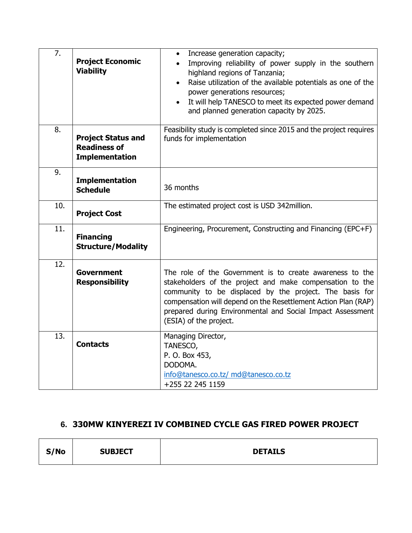| 7.  | <b>Project Economic</b><br><b>Viability</b>                               | Increase generation capacity;<br>$\bullet$<br>Improving reliability of power supply in the southern<br>highland regions of Tanzania;<br>Raise utilization of the available potentials as one of the<br>$\bullet$<br>power generations resources;<br>It will help TANESCO to meet its expected power demand<br>and planned generation capacity by 2025. |
|-----|---------------------------------------------------------------------------|--------------------------------------------------------------------------------------------------------------------------------------------------------------------------------------------------------------------------------------------------------------------------------------------------------------------------------------------------------|
| 8.  | <b>Project Status and</b><br><b>Readiness of</b><br><b>Implementation</b> | Feasibility study is completed since 2015 and the project requires<br>funds for implementation                                                                                                                                                                                                                                                         |
| 9.  | <b>Implementation</b><br><b>Schedule</b>                                  | 36 months                                                                                                                                                                                                                                                                                                                                              |
| 10. | <b>Project Cost</b>                                                       | The estimated project cost is USD 342million.                                                                                                                                                                                                                                                                                                          |
| 11. | <b>Financing</b><br><b>Structure/Modality</b>                             | Engineering, Procurement, Constructing and Financing (EPC+F)                                                                                                                                                                                                                                                                                           |
| 12. | Government<br><b>Responsibility</b>                                       | The role of the Government is to create awareness to the<br>stakeholders of the project and make compensation to the<br>community to be displaced by the project. The basis for<br>compensation will depend on the Resettlement Action Plan (RAP)<br>prepared during Environmental and Social Impact Assessment<br>(ESIA) of the project.              |
| 13. | <b>Contacts</b>                                                           | Managing Director,<br>TANESCO,<br>P. O. Box 453,<br>DODOMA.<br>info@tanesco.co.tz/ md@tanesco.co.tz<br>+255 22 245 1159                                                                                                                                                                                                                                |

### **6. 330MW KINYEREZI IV COMBINED CYCLE GAS FIRED POWER PROJECT**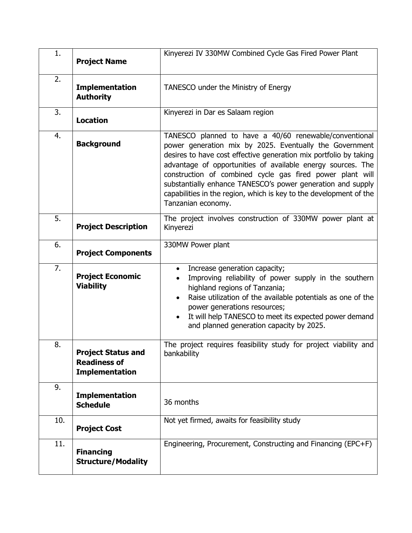| 1.  | <b>Project Name</b>                                                       | Kinyerezi IV 330MW Combined Cycle Gas Fired Power Plant                                                                                                                                                                                                                                                                                                                                                                                                                       |
|-----|---------------------------------------------------------------------------|-------------------------------------------------------------------------------------------------------------------------------------------------------------------------------------------------------------------------------------------------------------------------------------------------------------------------------------------------------------------------------------------------------------------------------------------------------------------------------|
| 2.  | <b>Implementation</b><br><b>Authority</b>                                 | TANESCO under the Ministry of Energy                                                                                                                                                                                                                                                                                                                                                                                                                                          |
| 3.  | <b>Location</b>                                                           | Kinyerezi in Dar es Salaam region                                                                                                                                                                                                                                                                                                                                                                                                                                             |
| 4.  | <b>Background</b>                                                         | TANESCO planned to have a 40/60 renewable/conventional<br>power generation mix by 2025. Eventually the Government<br>desires to have cost effective generation mix portfolio by taking<br>advantage of opportunities of available energy sources. The<br>construction of combined cycle gas fired power plant will<br>substantially enhance TANESCO's power generation and supply<br>capabilities in the region, which is key to the development of the<br>Tanzanian economy. |
| 5.  | <b>Project Description</b>                                                | The project involves construction of 330MW power plant at<br>Kinyerezi                                                                                                                                                                                                                                                                                                                                                                                                        |
| 6.  | <b>Project Components</b>                                                 | 330MW Power plant                                                                                                                                                                                                                                                                                                                                                                                                                                                             |
| 7.  | <b>Project Economic</b><br><b>Viability</b>                               | Increase generation capacity;<br>$\bullet$<br>Improving reliability of power supply in the southern<br>highland regions of Tanzania;<br>Raise utilization of the available potentials as one of the<br>$\bullet$<br>power generations resources;<br>It will help TANESCO to meet its expected power demand<br>$\bullet$<br>and planned generation capacity by 2025.                                                                                                           |
| 8.  | <b>Project Status and</b><br><b>Readiness of</b><br><b>Implementation</b> | The project requires feasibility study for project viability and<br>bankability                                                                                                                                                                                                                                                                                                                                                                                               |
| 9.  | <b>Implementation</b><br><b>Schedule</b>                                  | 36 months                                                                                                                                                                                                                                                                                                                                                                                                                                                                     |
| 10. | <b>Project Cost</b>                                                       | Not yet firmed, awaits for feasibility study                                                                                                                                                                                                                                                                                                                                                                                                                                  |
| 11. | <b>Financing</b><br><b>Structure/Modality</b>                             | Engineering, Procurement, Constructing and Financing (EPC+F)                                                                                                                                                                                                                                                                                                                                                                                                                  |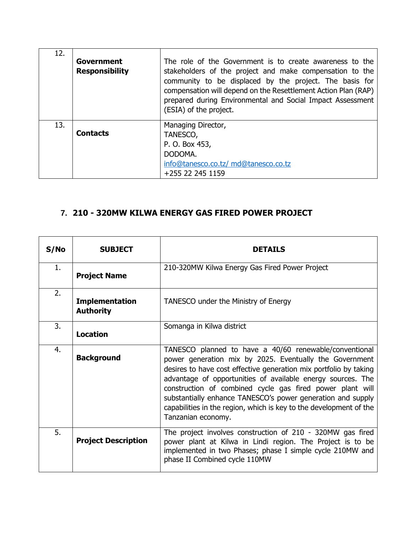| 12. | Government<br><b>Responsibility</b> | The role of the Government is to create awareness to the<br>stakeholders of the project and make compensation to the<br>community to be displaced by the project. The basis for<br>compensation will depend on the Resettlement Action Plan (RAP)<br>prepared during Environmental and Social Impact Assessment<br>(ESIA) of the project. |
|-----|-------------------------------------|-------------------------------------------------------------------------------------------------------------------------------------------------------------------------------------------------------------------------------------------------------------------------------------------------------------------------------------------|
| 13. | <b>Contacts</b>                     | Managing Director,<br>TANESCO,<br>P. O. Box 453,<br>DODOMA.<br>info@tanesco.co.tz/ md@tanesco.co.tz<br>+255 22 245 1159                                                                                                                                                                                                                   |

## **7. 210 - 320MW KILWA ENERGY GAS FIRED POWER PROJECT**

| S/No | <b>SUBJECT</b>                            | <b>DETAILS</b>                                                                                                                                                                                                                                                                                                                                                                                                                                                                |
|------|-------------------------------------------|-------------------------------------------------------------------------------------------------------------------------------------------------------------------------------------------------------------------------------------------------------------------------------------------------------------------------------------------------------------------------------------------------------------------------------------------------------------------------------|
| 1.   | <b>Project Name</b>                       | 210-320MW Kilwa Energy Gas Fired Power Project                                                                                                                                                                                                                                                                                                                                                                                                                                |
| 2.   | <b>Implementation</b><br><b>Authority</b> | TANESCO under the Ministry of Energy                                                                                                                                                                                                                                                                                                                                                                                                                                          |
| 3.   | <b>Location</b>                           | Somanga in Kilwa district                                                                                                                                                                                                                                                                                                                                                                                                                                                     |
| 4.   | <b>Background</b>                         | TANESCO planned to have a 40/60 renewable/conventional<br>power generation mix by 2025. Eventually the Government<br>desires to have cost effective generation mix portfolio by taking<br>advantage of opportunities of available energy sources. The<br>construction of combined cycle gas fired power plant will<br>substantially enhance TANESCO's power generation and supply<br>capabilities in the region, which is key to the development of the<br>Tanzanian economy. |
| 5.   | <b>Project Description</b>                | The project involves construction of 210 - 320MW gas fired<br>power plant at Kilwa in Lindi region. The Project is to be<br>implemented in two Phases; phase I simple cycle 210MW and<br>phase II Combined cycle 110MW                                                                                                                                                                                                                                                        |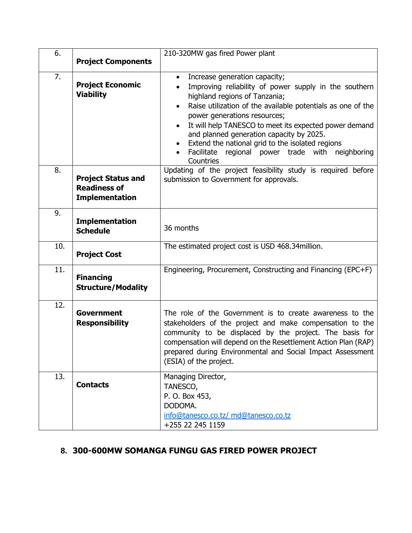| 6.  |                                                                           | 210-320MW gas fired Power plant                                                                                                                                                                                                                                                                                                                                                                                                                                                                          |
|-----|---------------------------------------------------------------------------|----------------------------------------------------------------------------------------------------------------------------------------------------------------------------------------------------------------------------------------------------------------------------------------------------------------------------------------------------------------------------------------------------------------------------------------------------------------------------------------------------------|
|     | <b>Project Components</b>                                                 |                                                                                                                                                                                                                                                                                                                                                                                                                                                                                                          |
| 7.  | <b>Project Economic</b><br><b>Viability</b>                               | Increase generation capacity;<br>$\bullet$<br>Improving reliability of power supply in the southern<br>highland regions of Tanzania;<br>Raise utilization of the available potentials as one of the<br>$\bullet$<br>power generations resources;<br>It will help TANESCO to meet its expected power demand<br>$\bullet$<br>and planned generation capacity by 2025.<br>Extend the national grid to the isolated regions<br>Facilitate regional power trade with<br>neighboring<br>$\bullet$<br>Countries |
| 8.  | <b>Project Status and</b><br><b>Readiness of</b><br><b>Implementation</b> | Updating of the project feasibility study is required before<br>submission to Government for approvals.                                                                                                                                                                                                                                                                                                                                                                                                  |
| 9.  | <b>Implementation</b><br><b>Schedule</b>                                  | 36 months                                                                                                                                                                                                                                                                                                                                                                                                                                                                                                |
| 10. | <b>Project Cost</b>                                                       | The estimated project cost is USD 468.34 million.                                                                                                                                                                                                                                                                                                                                                                                                                                                        |
| 11. | <b>Financing</b><br><b>Structure/Modality</b>                             | Engineering, Procurement, Constructing and Financing (EPC+F)                                                                                                                                                                                                                                                                                                                                                                                                                                             |
| 12. | <b>Government</b><br><b>Responsibility</b>                                | The role of the Government is to create awareness to the<br>stakeholders of the project and make compensation to the<br>community to be displaced by the project. The basis for<br>compensation will depend on the Resettlement Action Plan (RAP)<br>prepared during Environmental and Social Impact Assessment<br>(ESIA) of the project.                                                                                                                                                                |
| 13. | <b>Contacts</b>                                                           | Managing Director,<br>TANESCO,<br>P. O. Box 453,<br>DODOMA.<br>info@tanesco.co.tz/ md@tanesco.co.tz<br>+255 22 245 1159                                                                                                                                                                                                                                                                                                                                                                                  |

# **8. 300-600MW SOMANGA FUNGU GAS FIRED POWER PROJECT**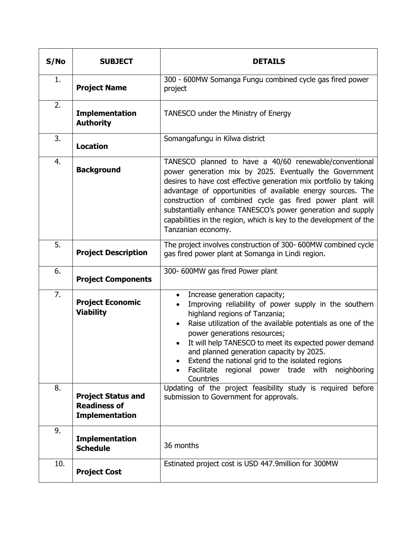| S/No | <b>SUBJECT</b>                                                            | <b>DETAILS</b>                                                                                                                                                                                                                                                                                                                                                                                                                                                                |
|------|---------------------------------------------------------------------------|-------------------------------------------------------------------------------------------------------------------------------------------------------------------------------------------------------------------------------------------------------------------------------------------------------------------------------------------------------------------------------------------------------------------------------------------------------------------------------|
| 1.   | <b>Project Name</b>                                                       | 300 - 600MW Somanga Fungu combined cycle gas fired power<br>project                                                                                                                                                                                                                                                                                                                                                                                                           |
| 2.   | <b>Implementation</b><br><b>Authority</b>                                 | TANESCO under the Ministry of Energy                                                                                                                                                                                                                                                                                                                                                                                                                                          |
| 3.   | <b>Location</b>                                                           | Somangafungu in Kilwa district                                                                                                                                                                                                                                                                                                                                                                                                                                                |
| 4.   | <b>Background</b>                                                         | TANESCO planned to have a 40/60 renewable/conventional<br>power generation mix by 2025. Eventually the Government<br>desires to have cost effective generation mix portfolio by taking<br>advantage of opportunities of available energy sources. The<br>construction of combined cycle gas fired power plant will<br>substantially enhance TANESCO's power generation and supply<br>capabilities in the region, which is key to the development of the<br>Tanzanian economy. |
| 5.   | <b>Project Description</b>                                                | The project involves construction of 300- 600MW combined cycle<br>gas fired power plant at Somanga in Lindi region.                                                                                                                                                                                                                                                                                                                                                           |
| 6.   | <b>Project Components</b>                                                 | 300- 600MW gas fired Power plant                                                                                                                                                                                                                                                                                                                                                                                                                                              |
| 7.   | <b>Project Economic</b><br><b>Viability</b>                               | Increase generation capacity;<br>Improving reliability of power supply in the southern<br>highland regions of Tanzania;<br>Raise utilization of the available potentials as one of the<br>power generations resources;<br>It will help TANESCO to meet its expected power demand<br>and planned generation capacity by 2025.<br>Extend the national grid to the isolated regions<br>٠<br>Facilitate<br>regional power trade with<br>neighboring<br>$\bullet$<br>Countries     |
| 8.   | <b>Project Status and</b><br><b>Readiness of</b><br><b>Implementation</b> | Updating of the project feasibility study is required before<br>submission to Government for approvals.                                                                                                                                                                                                                                                                                                                                                                       |
| 9.   | <b>Implementation</b><br><b>Schedule</b>                                  | 36 months                                                                                                                                                                                                                                                                                                                                                                                                                                                                     |
| 10.  | <b>Project Cost</b>                                                       | Estinated project cost is USD 447.9 million for 300MW                                                                                                                                                                                                                                                                                                                                                                                                                         |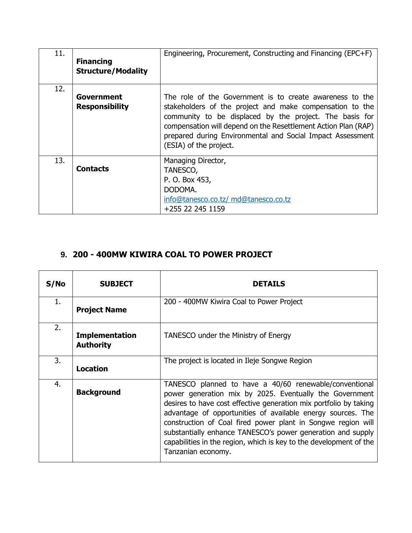| 11. | <b>Financing</b><br><b>Structure/Modality</b> | Engineering, Procurement, Constructing and Financing (EPC+F)                                                                                                                                                                                                                                                                              |
|-----|-----------------------------------------------|-------------------------------------------------------------------------------------------------------------------------------------------------------------------------------------------------------------------------------------------------------------------------------------------------------------------------------------------|
| 12. | Government<br><b>Responsibility</b>           | The role of the Government is to create awareness to the<br>stakeholders of the project and make compensation to the<br>community to be displaced by the project. The basis for<br>compensation will depend on the Resettlement Action Plan (RAP)<br>prepared during Environmental and Social Impact Assessment<br>(ESIA) of the project. |
| 13. | <b>Contacts</b>                               | Managing Director,<br>TANESCO,<br>P. O. Box 453,<br>DODOMA.<br>info@tanesco.co.tz/ md@tanesco.co.tz<br>+255 22 245 1159                                                                                                                                                                                                                   |

# **9. 200 - 400MW KIWIRA COAL TO POWER PROJECT**

| S/No | <b>SUBJECT</b>                            | <b>DETAILS</b>                                                                                                                                                                                                                                                                                                                                                                                                                                                                   |
|------|-------------------------------------------|----------------------------------------------------------------------------------------------------------------------------------------------------------------------------------------------------------------------------------------------------------------------------------------------------------------------------------------------------------------------------------------------------------------------------------------------------------------------------------|
| 1.   | <b>Project Name</b>                       | 200 - 400MW Kiwira Coal to Power Project                                                                                                                                                                                                                                                                                                                                                                                                                                         |
| 2.   | <b>Implementation</b><br><b>Authority</b> | TANESCO under the Ministry of Energy                                                                                                                                                                                                                                                                                                                                                                                                                                             |
| 3.   | <b>Location</b>                           | The project is located in Ileje Songwe Region                                                                                                                                                                                                                                                                                                                                                                                                                                    |
| 4.   | <b>Background</b>                         | TANESCO planned to have a 40/60 renewable/conventional<br>power generation mix by 2025. Eventually the Government<br>desires to have cost effective generation mix portfolio by taking<br>advantage of opportunities of available energy sources. The<br>construction of Coal fired power plant in Songwe region will<br>substantially enhance TANESCO's power generation and supply<br>capabilities in the region, which is key to the development of the<br>Tanzanian economy. |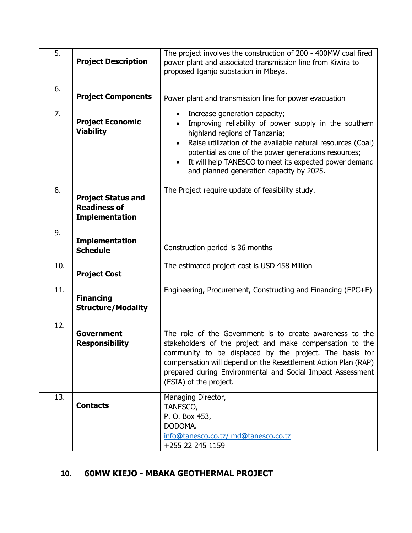| 5.  | <b>Project Description</b>                                                | The project involves the construction of 200 - 400MW coal fired<br>power plant and associated transmission line from Kiwira to<br>proposed Iganjo substation in Mbeya.                                                                                                                                                                                                         |
|-----|---------------------------------------------------------------------------|--------------------------------------------------------------------------------------------------------------------------------------------------------------------------------------------------------------------------------------------------------------------------------------------------------------------------------------------------------------------------------|
| 6.  | <b>Project Components</b>                                                 | Power plant and transmission line for power evacuation                                                                                                                                                                                                                                                                                                                         |
| 7.  | <b>Project Economic</b><br><b>Viability</b>                               | Increase generation capacity;<br>$\bullet$<br>Improving reliability of power supply in the southern<br>highland regions of Tanzania;<br>Raise utilization of the available natural resources (Coal)<br>potential as one of the power generations resources;<br>It will help TANESCO to meet its expected power demand<br>$\bullet$<br>and planned generation capacity by 2025. |
| 8.  | <b>Project Status and</b><br><b>Readiness of</b><br><b>Implementation</b> | The Project require update of feasibility study.                                                                                                                                                                                                                                                                                                                               |
| 9.  | <b>Implementation</b><br><b>Schedule</b>                                  | Construction period is 36 months                                                                                                                                                                                                                                                                                                                                               |
| 10. | <b>Project Cost</b>                                                       | The estimated project cost is USD 458 Million                                                                                                                                                                                                                                                                                                                                  |
| 11. | <b>Financing</b><br><b>Structure/Modality</b>                             | Engineering, Procurement, Constructing and Financing (EPC+F)                                                                                                                                                                                                                                                                                                                   |
| 12. | Government<br><b>Responsibility</b>                                       | The role of the Government is to create awareness to the<br>stakeholders of the project and make compensation to the<br>community to be displaced by the project. The basis for<br>compensation will depend on the Resettlement Action Plan (RAP)<br>prepared during Environmental and Social Impact Assessment<br>(ESIA) of the project.                                      |
| 13. | <b>Contacts</b>                                                           | Managing Director,<br>TANESCO,<br>P. O. Box 453,<br>DODOMA.<br>info@tanesco.co.tz/ md@tanesco.co.tz<br>+255 22 245 1159                                                                                                                                                                                                                                                        |

### **10. 60MW KIEJO - MBAKA GEOTHERMAL PROJECT**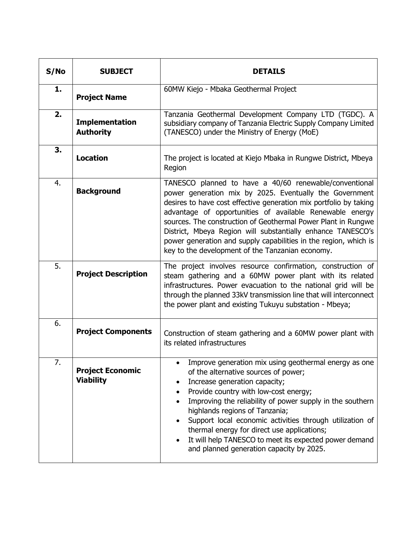| S/NO | <b>SUBJECT</b>                              | <b>DETAILS</b>                                                                                                                                                                                                                                                                                                                                                                                                                                                                                                         |
|------|---------------------------------------------|------------------------------------------------------------------------------------------------------------------------------------------------------------------------------------------------------------------------------------------------------------------------------------------------------------------------------------------------------------------------------------------------------------------------------------------------------------------------------------------------------------------------|
| 1.   | <b>Project Name</b>                         | 60MW Kiejo - Mbaka Geothermal Project                                                                                                                                                                                                                                                                                                                                                                                                                                                                                  |
| 2.   | <b>Implementation</b><br><b>Authority</b>   | Tanzania Geothermal Development Company LTD (TGDC). A<br>subsidiary company of Tanzania Electric Supply Company Limited<br>(TANESCO) under the Ministry of Energy (MoE)                                                                                                                                                                                                                                                                                                                                                |
| 3.   | <b>Location</b>                             | The project is located at Kiejo Mbaka in Rungwe District, Mbeya<br>Region                                                                                                                                                                                                                                                                                                                                                                                                                                              |
| 4.   | <b>Background</b>                           | TANESCO planned to have a 40/60 renewable/conventional<br>power generation mix by 2025. Eventually the Government<br>desires to have cost effective generation mix portfolio by taking<br>advantage of opportunities of available Renewable energy<br>sources. The construction of Geothermal Power Plant in Rungwe<br>District, Mbeya Region will substantially enhance TANESCO's<br>power generation and supply capabilities in the region, which is<br>key to the development of the Tanzanian economy.             |
| 5.   | <b>Project Description</b>                  | The project involves resource confirmation, construction of<br>steam gathering and a 60MW power plant with its related<br>infrastructures. Power evacuation to the national grid will be<br>through the planned 33kV transmission line that will interconnect<br>the power plant and existing Tukuyu substation - Mbeya;                                                                                                                                                                                               |
| 6.   | <b>Project Components</b>                   | Construction of steam gathering and a 60MW power plant with<br>its related infrastructures                                                                                                                                                                                                                                                                                                                                                                                                                             |
| 7.   | <b>Project Economic</b><br><b>Viability</b> | Improve generation mix using geothermal energy as one<br>of the alternative sources of power;<br>Increase generation capacity;<br>٠<br>Provide country with low-cost energy;<br>Improving the reliability of power supply in the southern<br>highlands regions of Tanzania;<br>Support local economic activities through utilization of<br>$\bullet$<br>thermal energy for direct use applications;<br>It will help TANESCO to meet its expected power demand<br>$\bullet$<br>and planned generation capacity by 2025. |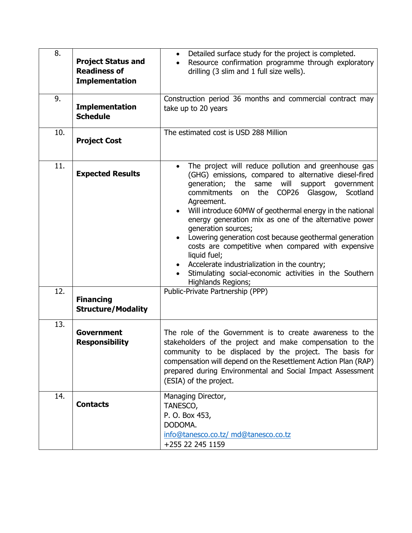| 8.         | <b>Project Status and</b><br><b>Readiness of</b><br><b>Implementation</b> | Detailed surface study for the project is completed.<br>$\bullet$<br>Resource confirmation programme through exploratory<br>drilling (3 slim and 1 full size wells).                                                                                                                                                                                                                                                                                                                                                                                                                                                                                                                                  |
|------------|---------------------------------------------------------------------------|-------------------------------------------------------------------------------------------------------------------------------------------------------------------------------------------------------------------------------------------------------------------------------------------------------------------------------------------------------------------------------------------------------------------------------------------------------------------------------------------------------------------------------------------------------------------------------------------------------------------------------------------------------------------------------------------------------|
| 9.         | <b>Implementation</b><br><b>Schedule</b>                                  | Construction period 36 months and commercial contract may<br>take up to 20 years                                                                                                                                                                                                                                                                                                                                                                                                                                                                                                                                                                                                                      |
| 10.        | <b>Project Cost</b>                                                       | The estimated cost is USD 288 Million                                                                                                                                                                                                                                                                                                                                                                                                                                                                                                                                                                                                                                                                 |
| 11.<br>12. | <b>Expected Results</b><br><b>Financing</b><br><b>Structure/Modality</b>  | The project will reduce pollution and greenhouse gas<br>$\bullet$<br>(GHG) emissions, compared to alternative diesel-fired<br>generation; the same will<br>support government<br>on the<br>COP26<br>commitments<br>Glasgow,<br>Scotland<br>Agreement.<br>Will introduce 60MW of geothermal energy in the national<br>energy generation mix as one of the alternative power<br>generation sources;<br>Lowering generation cost because geothermal generation<br>costs are competitive when compared with expensive<br>liquid fuel;<br>Accelerate industrialization in the country;<br>Stimulating social-economic activities in the Southern<br>Highlands Regions;<br>Public-Private Partnership (PPP) |
| 13.        | <b>Government</b><br><b>Responsibility</b>                                | The role of the Government is to create awareness to the<br>stakeholders of the project and make compensation to the<br>community to be displaced by the project. The basis for<br>compensation will depend on the Resettlement Action Plan (RAP)<br>prepared during Environmental and Social Impact Assessment<br>(ESIA) of the project.                                                                                                                                                                                                                                                                                                                                                             |
| 14.        | <b>Contacts</b>                                                           | Managing Director,<br>TANESCO,<br>P. O. Box 453,<br>DODOMA.<br>info@tanesco.co.tz/ md@tanesco.co.tz<br>+255 22 245 1159                                                                                                                                                                                                                                                                                                                                                                                                                                                                                                                                                                               |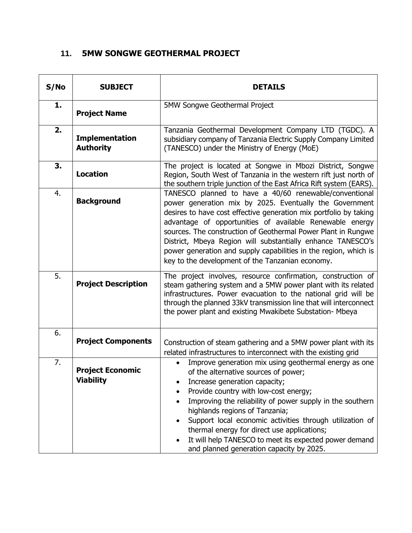## **11. 5MW SONGWE GEOTHERMAL PROJECT**

| S/No | <b>SUBJECT</b>                              | <b>DETAILS</b>                                                                                                                                                                                                                                                                                                                                                                                                                                                                                             |
|------|---------------------------------------------|------------------------------------------------------------------------------------------------------------------------------------------------------------------------------------------------------------------------------------------------------------------------------------------------------------------------------------------------------------------------------------------------------------------------------------------------------------------------------------------------------------|
| 1.   | <b>Project Name</b>                         | 5MW Songwe Geothermal Project                                                                                                                                                                                                                                                                                                                                                                                                                                                                              |
| 2.   | <b>Implementation</b><br><b>Authority</b>   | Tanzania Geothermal Development Company LTD (TGDC). A<br>subsidiary company of Tanzania Electric Supply Company Limited<br>(TANESCO) under the Ministry of Energy (MoE)                                                                                                                                                                                                                                                                                                                                    |
| 3.   | <b>Location</b>                             | The project is located at Songwe in Mbozi District, Songwe<br>Region, South West of Tanzania in the western rift just north of<br>the southern triple junction of the East Africa Rift system (EARS).                                                                                                                                                                                                                                                                                                      |
| 4.   | <b>Background</b>                           | TANESCO planned to have a 40/60 renewable/conventional<br>power generation mix by 2025. Eventually the Government<br>desires to have cost effective generation mix portfolio by taking<br>advantage of opportunities of available Renewable energy<br>sources. The construction of Geothermal Power Plant in Rungwe<br>District, Mbeya Region will substantially enhance TANESCO's<br>power generation and supply capabilities in the region, which is<br>key to the development of the Tanzanian economy. |
| 5.   | <b>Project Description</b>                  | The project involves, resource confirmation, construction of<br>steam gathering system and a 5MW power plant with its related<br>infrastructures. Power evacuation to the national grid will be<br>through the planned 33kV transmission line that will interconnect<br>the power plant and existing Mwakibete Substation- Mbeya                                                                                                                                                                           |
| 6.   | <b>Project Components</b>                   | Construction of steam gathering and a 5MW power plant with its<br>related infrastructures to interconnect with the existing grid                                                                                                                                                                                                                                                                                                                                                                           |
| 7.   | <b>Project Economic</b><br><b>Viability</b> | Improve generation mix using geothermal energy as one<br>of the alternative sources of power;<br>Increase generation capacity;<br>Provide country with low-cost energy;<br>Improving the reliability of power supply in the southern<br>highlands regions of Tanzania;<br>Support local economic activities through utilization of<br>thermal energy for direct use applications;<br>It will help TANESCO to meet its expected power demand<br>and planned generation capacity by 2025.                    |